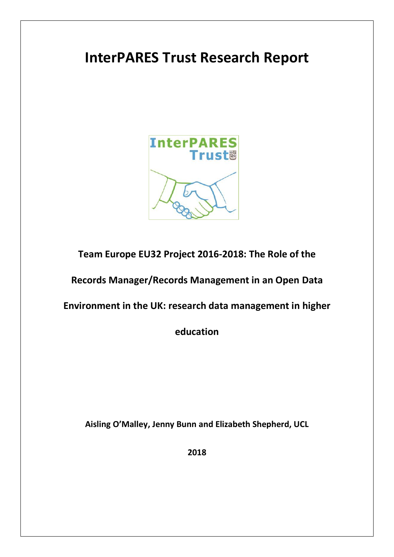# **InterPARES Trust Research Report**



**Team Europe EU32 Project 2016-2018: The Role of the** 

**Records Manager/Records Management in an Open Data**

**Environment in the UK: research data management in higher** 

**education**

**Aisling O'Malley, Jenny Bunn and Elizabeth Shepherd, UCL**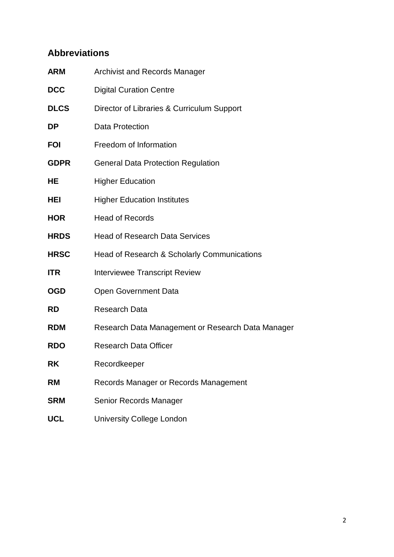## **Abbreviations**

| <b>ARM</b>  | <b>Archivist and Records Manager</b>              |
|-------------|---------------------------------------------------|
| <b>DCC</b>  | <b>Digital Curation Centre</b>                    |
| <b>DLCS</b> | Director of Libraries & Curriculum Support        |
| DP          | <b>Data Protection</b>                            |
| FOI         | Freedom of Information                            |
| <b>GDPR</b> | <b>General Data Protection Regulation</b>         |
| HE          | <b>Higher Education</b>                           |
| HEI         | <b>Higher Education Institutes</b>                |
| <b>HOR</b>  | <b>Head of Records</b>                            |
| <b>HRDS</b> | <b>Head of Research Data Services</b>             |
| <b>HRSC</b> | Head of Research & Scholarly Communications       |
| ITR         | <b>Interviewee Transcript Review</b>              |
| OGD         | <b>Open Government Data</b>                       |
| RD          | <b>Research Data</b>                              |
| RDM         | Research Data Management or Research Data Manager |
| <b>RDO</b>  | <b>Research Data Officer</b>                      |
| <b>RK</b>   | Recordkeeper                                      |
| RM          | Records Manager or Records Management             |
| SRM         | Senior Records Manager                            |
| <b>UCL</b>  | <b>University College London</b>                  |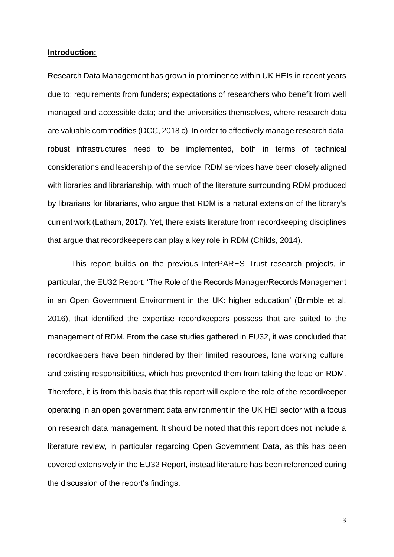#### **Introduction:**

Research Data Management has grown in prominence within UK HEIs in recent years due to: requirements from funders; expectations of researchers who benefit from well managed and accessible data; and the universities themselves, where research data are valuable commodities (DCC, 2018 c). In order to effectively manage research data, robust infrastructures need to be implemented, both in terms of technical considerations and leadership of the service. RDM services have been closely aligned with libraries and librarianship, with much of the literature surrounding RDM produced by librarians for librarians, who argue that RDM is a natural extension of the library's current work (Latham, 2017). Yet, there exists literature from recordkeeping disciplines that argue that recordkeepers can play a key role in RDM (Childs, 2014).

This report builds on the previous InterPARES Trust research projects, in particular, the EU32 Report, 'The Role of the Records Manager/Records Management in an Open Government Environment in the UK: higher education' (Brimble et al, 2016), that identified the expertise recordkeepers possess that are suited to the management of RDM. From the case studies gathered in EU32, it was concluded that recordkeepers have been hindered by their limited resources, lone working culture, and existing responsibilities, which has prevented them from taking the lead on RDM. Therefore, it is from this basis that this report will explore the role of the recordkeeper operating in an open government data environment in the UK HEI sector with a focus on research data management. It should be noted that this report does not include a literature review, in particular regarding Open Government Data, as this has been covered extensively in the EU32 Report, instead literature has been referenced during the discussion of the report's findings.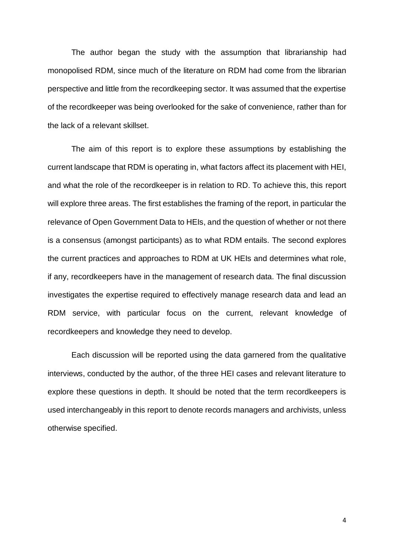The author began the study with the assumption that librarianship had monopolised RDM, since much of the literature on RDM had come from the librarian perspective and little from the recordkeeping sector. It was assumed that the expertise of the recordkeeper was being overlooked for the sake of convenience, rather than for the lack of a relevant skillset.

The aim of this report is to explore these assumptions by establishing the current landscape that RDM is operating in, what factors affect its placement with HEI, and what the role of the recordkeeper is in relation to RD. To achieve this, this report will explore three areas. The first establishes the framing of the report, in particular the relevance of Open Government Data to HEIs, and the question of whether or not there is a consensus (amongst participants) as to what RDM entails. The second explores the current practices and approaches to RDM at UK HEIs and determines what role, if any, recordkeepers have in the management of research data. The final discussion investigates the expertise required to effectively manage research data and lead an RDM service, with particular focus on the current, relevant knowledge of recordkeepers and knowledge they need to develop.

Each discussion will be reported using the data garnered from the qualitative interviews, conducted by the author, of the three HEI cases and relevant literature to explore these questions in depth. It should be noted that the term recordkeepers is used interchangeably in this report to denote records managers and archivists, unless otherwise specified.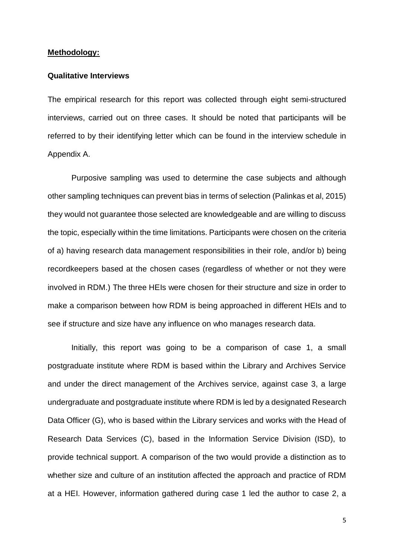#### **Methodology:**

#### **Qualitative Interviews**

The empirical research for this report was collected through eight semi-structured interviews, carried out on three cases. It should be noted that participants will be referred to by their identifying letter which can be found in the interview schedule in Appendix A.

Purposive sampling was used to determine the case subjects and although other sampling techniques can prevent bias in terms of selection (Palinkas et al, 2015) they would not guarantee those selected are knowledgeable and are willing to discuss the topic, especially within the time limitations. Participants were chosen on the criteria of a) having research data management responsibilities in their role, and/or b) being recordkeepers based at the chosen cases (regardless of whether or not they were involved in RDM.) The three HEIs were chosen for their structure and size in order to make a comparison between how RDM is being approached in different HEIs and to see if structure and size have any influence on who manages research data.

Initially, this report was going to be a comparison of case 1, a small postgraduate institute where RDM is based within the Library and Archives Service and under the direct management of the Archives service, against case 3, a large undergraduate and postgraduate institute where RDM is led by a designated Research Data Officer (G), who is based within the Library services and works with the Head of Research Data Services (C), based in the Information Service Division (ISD), to provide technical support. A comparison of the two would provide a distinction as to whether size and culture of an institution affected the approach and practice of RDM at a HEI. However, information gathered during case 1 led the author to case 2, a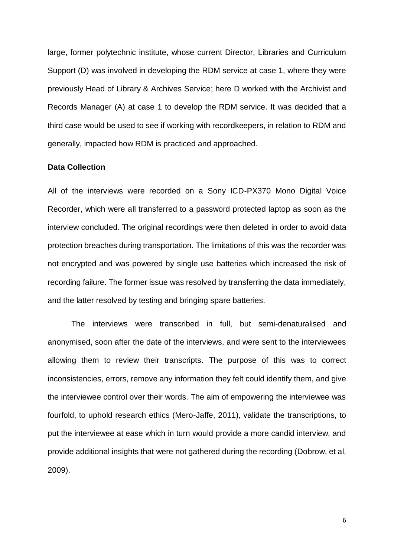large, former polytechnic institute, whose current Director, Libraries and Curriculum Support (D) was involved in developing the RDM service at case 1, where they were previously Head of Library & Archives Service; here D worked with the Archivist and Records Manager (A) at case 1 to develop the RDM service. It was decided that a third case would be used to see if working with recordkeepers, in relation to RDM and generally, impacted how RDM is practiced and approached.

#### **Data Collection**

All of the interviews were recorded on a Sony ICD-PX370 Mono Digital Voice Recorder, which were all transferred to a password protected laptop as soon as the interview concluded. The original recordings were then deleted in order to avoid data protection breaches during transportation. The limitations of this was the recorder was not encrypted and was powered by single use batteries which increased the risk of recording failure. The former issue was resolved by transferring the data immediately, and the latter resolved by testing and bringing spare batteries.

The interviews were transcribed in full, but semi-denaturalised and anonymised, soon after the date of the interviews, and were sent to the interviewees allowing them to review their transcripts. The purpose of this was to correct inconsistencies, errors, remove any information they felt could identify them, and give the interviewee control over their words. The aim of empowering the interviewee was fourfold, to uphold research ethics (Mero-Jaffe, 2011), validate the transcriptions, to put the interviewee at ease which in turn would provide a more candid interview, and provide additional insights that were not gathered during the recording (Dobrow, et al, 2009).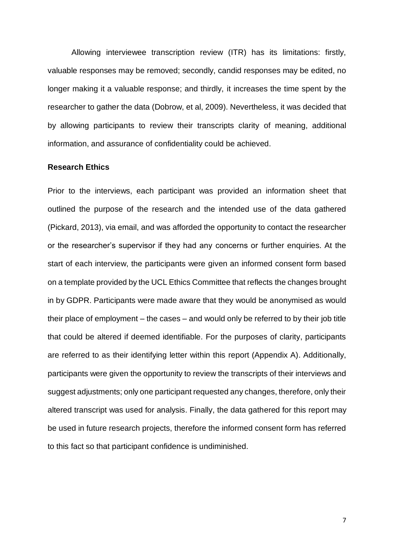Allowing interviewee transcription review (ITR) has its limitations: firstly, valuable responses may be removed; secondly, candid responses may be edited, no longer making it a valuable response; and thirdly, it increases the time spent by the researcher to gather the data (Dobrow, et al, 2009). Nevertheless, it was decided that by allowing participants to review their transcripts clarity of meaning, additional information, and assurance of confidentiality could be achieved.

#### **Research Ethics**

Prior to the interviews, each participant was provided an information sheet that outlined the purpose of the research and the intended use of the data gathered (Pickard, 2013), via email, and was afforded the opportunity to contact the researcher or the researcher's supervisor if they had any concerns or further enquiries. At the start of each interview, the participants were given an informed consent form based on a template provided by the UCL Ethics Committee that reflects the changes brought in by GDPR. Participants were made aware that they would be anonymised as would their place of employment – the cases – and would only be referred to by their job title that could be altered if deemed identifiable. For the purposes of clarity, participants are referred to as their identifying letter within this report (Appendix A). Additionally, participants were given the opportunity to review the transcripts of their interviews and suggest adjustments; only one participant requested any changes, therefore, only their altered transcript was used for analysis. Finally, the data gathered for this report may be used in future research projects, therefore the informed consent form has referred to this fact so that participant confidence is undiminished.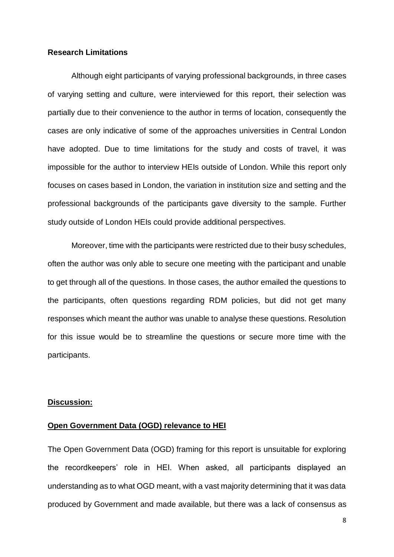#### **Research Limitations**

Although eight participants of varying professional backgrounds, in three cases of varying setting and culture, were interviewed for this report, their selection was partially due to their convenience to the author in terms of location, consequently the cases are only indicative of some of the approaches universities in Central London have adopted. Due to time limitations for the study and costs of travel, it was impossible for the author to interview HEIs outside of London. While this report only focuses on cases based in London, the variation in institution size and setting and the professional backgrounds of the participants gave diversity to the sample. Further study outside of London HEIs could provide additional perspectives.

Moreover, time with the participants were restricted due to their busy schedules, often the author was only able to secure one meeting with the participant and unable to get through all of the questions. In those cases, the author emailed the questions to the participants, often questions regarding RDM policies, but did not get many responses which meant the author was unable to analyse these questions. Resolution for this issue would be to streamline the questions or secure more time with the participants.

#### **Discussion:**

#### **Open Government Data (OGD) relevance to HEI**

The Open Government Data (OGD) framing for this report is unsuitable for exploring the recordkeepers' role in HEI. When asked, all participants displayed an understanding as to what OGD meant, with a vast majority determining that it was data produced by Government and made available, but there was a lack of consensus as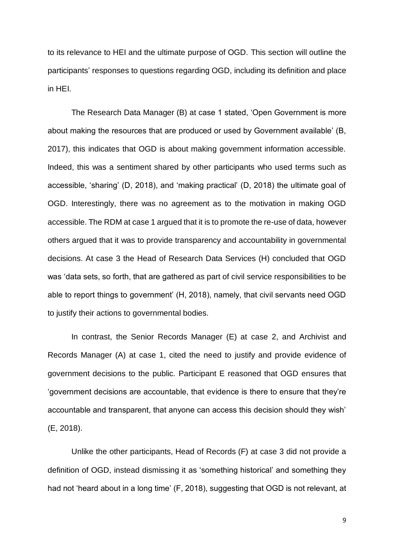to its relevance to HEI and the ultimate purpose of OGD. This section will outline the participants' responses to questions regarding OGD, including its definition and place in HEI.

The Research Data Manager (B) at case 1 stated, 'Open Government is more about making the resources that are produced or used by Government available' (B, 2017), this indicates that OGD is about making government information accessible. Indeed, this was a sentiment shared by other participants who used terms such as accessible, 'sharing' (D, 2018), and 'making practical' (D, 2018) the ultimate goal of OGD. Interestingly, there was no agreement as to the motivation in making OGD accessible. The RDM at case 1 argued that it is to promote the re-use of data, however others argued that it was to provide transparency and accountability in governmental decisions. At case 3 the Head of Research Data Services (H) concluded that OGD was 'data sets, so forth, that are gathered as part of civil service responsibilities to be able to report things to government' (H, 2018), namely, that civil servants need OGD to justify their actions to governmental bodies.

In contrast, the Senior Records Manager (E) at case 2, and Archivist and Records Manager (A) at case 1, cited the need to justify and provide evidence of government decisions to the public. Participant E reasoned that OGD ensures that 'government decisions are accountable, that evidence is there to ensure that they're accountable and transparent, that anyone can access this decision should they wish' (E, 2018).

Unlike the other participants, Head of Records (F) at case 3 did not provide a definition of OGD, instead dismissing it as 'something historical' and something they had not 'heard about in a long time' (F, 2018), suggesting that OGD is not relevant, at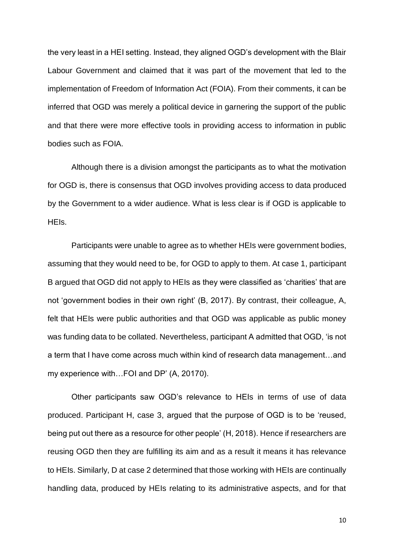the very least in a HEI setting. Instead, they aligned OGD's development with the Blair Labour Government and claimed that it was part of the movement that led to the implementation of Freedom of Information Act (FOIA). From their comments, it can be inferred that OGD was merely a political device in garnering the support of the public and that there were more effective tools in providing access to information in public bodies such as FOIA.

Although there is a division amongst the participants as to what the motivation for OGD is, there is consensus that OGD involves providing access to data produced by the Government to a wider audience. What is less clear is if OGD is applicable to HEIs.

Participants were unable to agree as to whether HEIs were government bodies, assuming that they would need to be, for OGD to apply to them. At case 1, participant B argued that OGD did not apply to HEIs as they were classified as 'charities' that are not 'government bodies in their own right' (B, 2017). By contrast, their colleague, A, felt that HEIs were public authorities and that OGD was applicable as public money was funding data to be collated. Nevertheless, participant A admitted that OGD, 'is not a term that I have come across much within kind of research data management…and my experience with…FOI and DP' (A, 20170).

Other participants saw OGD's relevance to HEIs in terms of use of data produced. Participant H, case 3, argued that the purpose of OGD is to be 'reused, being put out there as a resource for other people' (H, 2018). Hence if researchers are reusing OGD then they are fulfilling its aim and as a result it means it has relevance to HEIs. Similarly, D at case 2 determined that those working with HEIs are continually handling data, produced by HEIs relating to its administrative aspects, and for that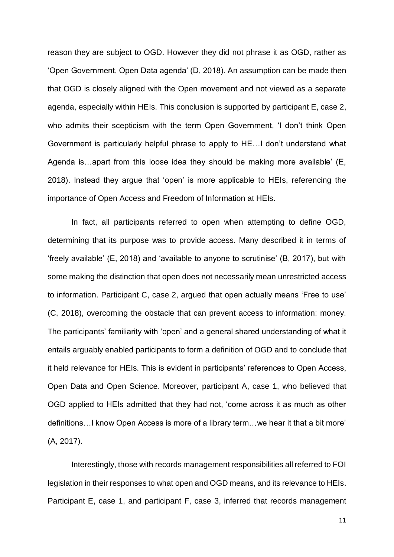reason they are subject to OGD. However they did not phrase it as OGD, rather as 'Open Government, Open Data agenda' (D, 2018). An assumption can be made then that OGD is closely aligned with the Open movement and not viewed as a separate agenda, especially within HEIs. This conclusion is supported by participant E, case 2, who admits their scepticism with the term Open Government, 'I don't think Open Government is particularly helpful phrase to apply to HE…I don't understand what Agenda is…apart from this loose idea they should be making more available' (E, 2018). Instead they argue that 'open' is more applicable to HEIs, referencing the importance of Open Access and Freedom of Information at HEIs.

In fact, all participants referred to open when attempting to define OGD, determining that its purpose was to provide access. Many described it in terms of 'freely available' (E, 2018) and 'available to anyone to scrutinise' (B, 2017), but with some making the distinction that open does not necessarily mean unrestricted access to information. Participant C, case 2, argued that open actually means 'Free to use' (C, 2018), overcoming the obstacle that can prevent access to information: money. The participants' familiarity with 'open' and a general shared understanding of what it entails arguably enabled participants to form a definition of OGD and to conclude that it held relevance for HEIs. This is evident in participants' references to Open Access, Open Data and Open Science. Moreover, participant A, case 1, who believed that OGD applied to HEIs admitted that they had not, 'come across it as much as other definitions…I know Open Access is more of a library term…we hear it that a bit more' (A, 2017).

Interestingly, those with records management responsibilities all referred to FOI legislation in their responses to what open and OGD means, and its relevance to HEIs. Participant E, case 1, and participant F, case 3, inferred that records management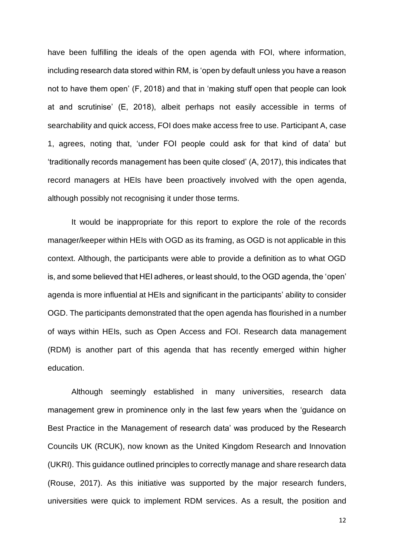have been fulfilling the ideals of the open agenda with FOI, where information, including research data stored within RM, is 'open by default unless you have a reason not to have them open' (F, 2018) and that in 'making stuff open that people can look at and scrutinise' (E, 2018), albeit perhaps not easily accessible in terms of searchability and quick access, FOI does make access free to use. Participant A, case 1, agrees, noting that, 'under FOI people could ask for that kind of data' but 'traditionally records management has been quite closed' (A, 2017), this indicates that record managers at HEIs have been proactively involved with the open agenda, although possibly not recognising it under those terms.

It would be inappropriate for this report to explore the role of the records manager/keeper within HEIs with OGD as its framing, as OGD is not applicable in this context. Although, the participants were able to provide a definition as to what OGD is, and some believed that HEI adheres, or least should, to the OGD agenda, the 'open' agenda is more influential at HEIs and significant in the participants' ability to consider OGD. The participants demonstrated that the open agenda has flourished in a number of ways within HEIs, such as Open Access and FOI. Research data management (RDM) is another part of this agenda that has recently emerged within higher education.

Although seemingly established in many universities, research data management grew in prominence only in the last few years when the 'guidance on Best Practice in the Management of research data' was produced by the Research Councils UK (RCUK), now known as the United Kingdom Research and Innovation (UKRI). This guidance outlined principles to correctly manage and share research data (Rouse, 2017). As this initiative was supported by the major research funders, universities were quick to implement RDM services. As a result, the position and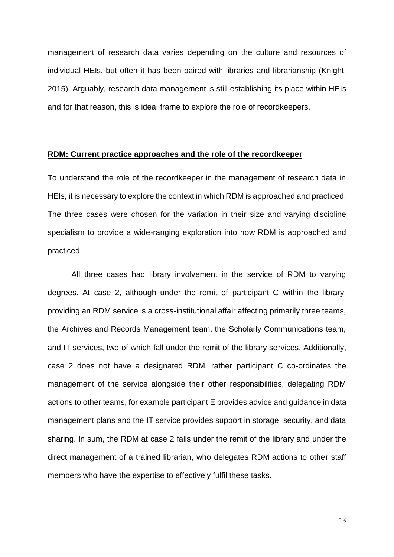management of research data varies depending on the culture and resources of individual HEIs, but often it has been paired with libraries and librarianship (Knight, 2015). Arguably, research data management is still establishing its place within HEIs and for that reason, this is ideal frame to explore the role of recordkeepers.

#### **RDM: Current practice approaches and the role of the recordkeeper**

To understand the role of the recordkeeper in the management of research data in HEIs, it is necessary to explore the context in which RDM is approached and practiced. The three cases were chosen for the variation in their size and varying discipline specialism to provide a wide-ranging exploration into how RDM is approached and practiced.

All three cases had library involvement in the service of RDM to varying degrees. At case 2, although under the remit of participant C within the library, providing an RDM service is a cross-institutional affair affecting primarily three teams, the Archives and Records Management team, the Scholarly Communications team, and IT services, two of which fall under the remit of the library services. Additionally, case 2 does not have a designated RDM, rather participant C co-ordinates the management of the service alongside their other responsibilities, delegating RDM actions to other teams, for example participant E provides advice and guidance in data management plans and the IT service provides support in storage, security, and data sharing. In sum, the RDM at case 2 falls under the remit of the library and under the direct management of a trained librarian, who delegates RDM actions to other staff members who have the expertise to effectively fulfil these tasks.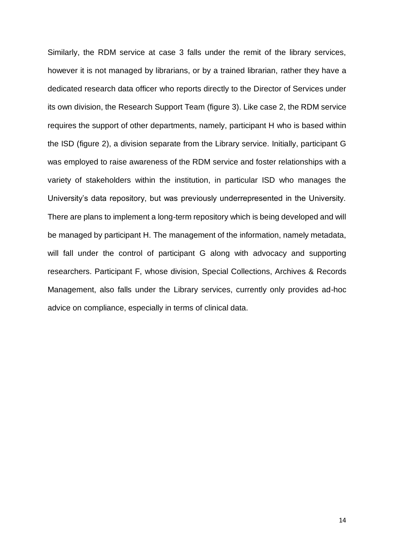Similarly, the RDM service at case 3 falls under the remit of the library services, however it is not managed by librarians, or by a trained librarian, rather they have a dedicated research data officer who reports directly to the Director of Services under its own division, the Research Support Team (figure 3). Like case 2, the RDM service requires the support of other departments, namely, participant H who is based within the ISD (figure 2), a division separate from the Library service. Initially, participant G was employed to raise awareness of the RDM service and foster relationships with a variety of stakeholders within the institution, in particular ISD who manages the University's data repository, but was previously underrepresented in the University. There are plans to implement a long-term repository which is being developed and will be managed by participant H. The management of the information, namely metadata, will fall under the control of participant G along with advocacy and supporting researchers. Participant F, whose division, Special Collections, Archives & Records Management, also falls under the Library services, currently only provides ad-hoc advice on compliance, especially in terms of clinical data.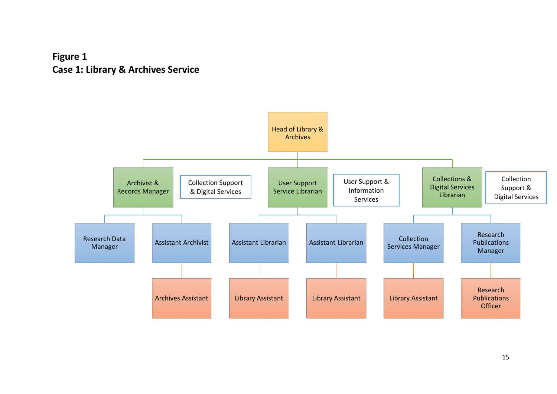## **Figure 1 Case 1: Library & Archives Service**

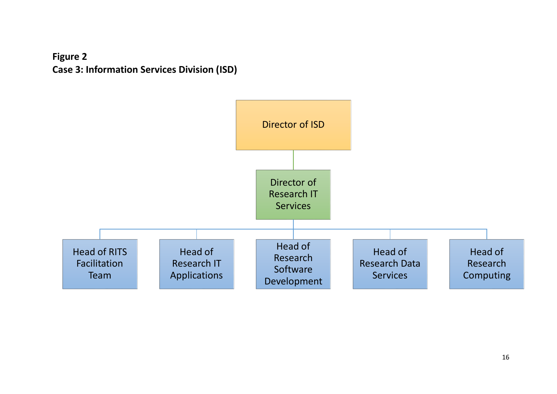

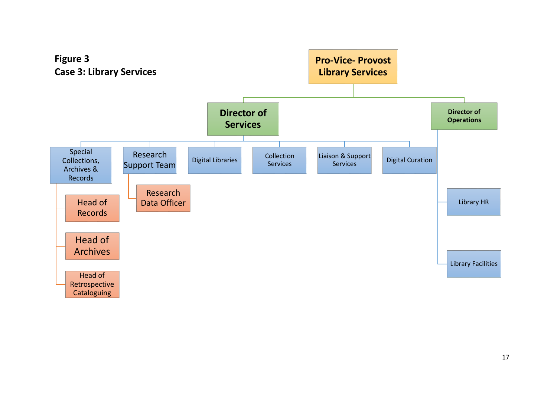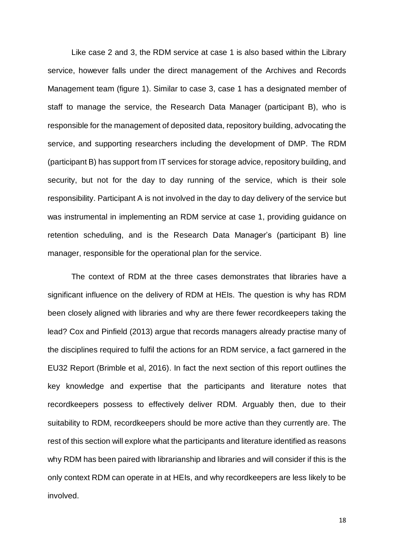Like case 2 and 3, the RDM service at case 1 is also based within the Library service, however falls under the direct management of the Archives and Records Management team (figure 1). Similar to case 3, case 1 has a designated member of staff to manage the service, the Research Data Manager (participant B), who is responsible for the management of deposited data, repository building, advocating the service, and supporting researchers including the development of DMP. The RDM (participant B) has support from IT services for storage advice, repository building, and security, but not for the day to day running of the service, which is their sole responsibility. Participant A is not involved in the day to day delivery of the service but was instrumental in implementing an RDM service at case 1, providing guidance on retention scheduling, and is the Research Data Manager's (participant B) line manager, responsible for the operational plan for the service.

The context of RDM at the three cases demonstrates that libraries have a significant influence on the delivery of RDM at HEIs. The question is why has RDM been closely aligned with libraries and why are there fewer recordkeepers taking the lead? Cox and Pinfield (2013) argue that records managers already practise many of the disciplines required to fulfil the actions for an RDM service, a fact garnered in the EU32 Report (Brimble et al, 2016). In fact the next section of this report outlines the key knowledge and expertise that the participants and literature notes that recordkeepers possess to effectively deliver RDM. Arguably then, due to their suitability to RDM, recordkeepers should be more active than they currently are. The rest of this section will explore what the participants and literature identified as reasons why RDM has been paired with librarianship and libraries and will consider if this is the only context RDM can operate in at HEIs, and why recordkeepers are less likely to be involved.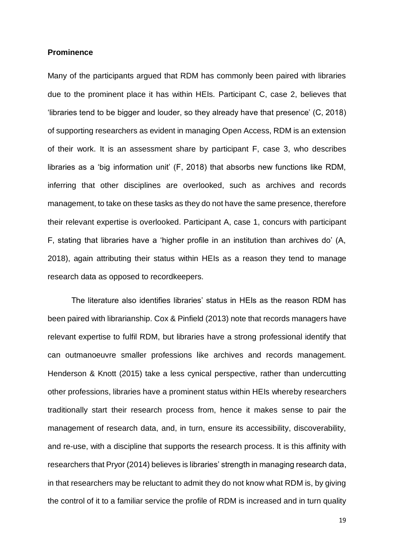#### **Prominence**

Many of the participants argued that RDM has commonly been paired with libraries due to the prominent place it has within HEIs. Participant C, case 2, believes that 'libraries tend to be bigger and louder, so they already have that presence' (C, 2018) of supporting researchers as evident in managing Open Access, RDM is an extension of their work. It is an assessment share by participant F, case 3, who describes libraries as a 'big information unit' (F, 2018) that absorbs new functions like RDM, inferring that other disciplines are overlooked, such as archives and records management, to take on these tasks as they do not have the same presence, therefore their relevant expertise is overlooked. Participant A, case 1, concurs with participant F, stating that libraries have a 'higher profile in an institution than archives do' (A, 2018), again attributing their status within HEIs as a reason they tend to manage research data as opposed to recordkeepers.

The literature also identifies libraries' status in HEIs as the reason RDM has been paired with librarianship. Cox & Pinfield (2013) note that records managers have relevant expertise to fulfil RDM, but libraries have a strong professional identify that can outmanoeuvre smaller professions like archives and records management. Henderson & Knott (2015) take a less cynical perspective, rather than undercutting other professions, libraries have a prominent status within HEIs whereby researchers traditionally start their research process from, hence it makes sense to pair the management of research data, and, in turn, ensure its accessibility, discoverability, and re-use, with a discipline that supports the research process. It is this affinity with researchers that Pryor (2014) believes is libraries' strength in managing research data, in that researchers may be reluctant to admit they do not know what RDM is, by giving the control of it to a familiar service the profile of RDM is increased and in turn quality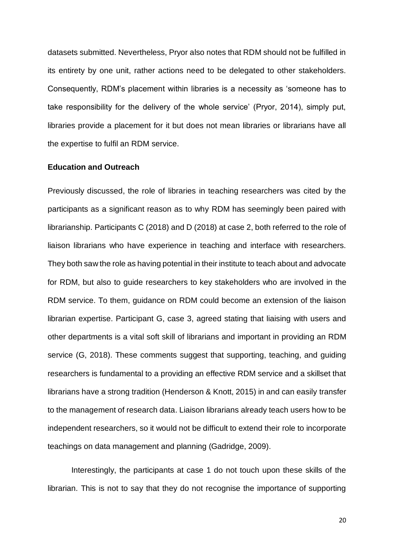datasets submitted. Nevertheless, Pryor also notes that RDM should not be fulfilled in its entirety by one unit, rather actions need to be delegated to other stakeholders. Consequently, RDM's placement within libraries is a necessity as 'someone has to take responsibility for the delivery of the whole service' (Pryor, 2014), simply put, libraries provide a placement for it but does not mean libraries or librarians have all the expertise to fulfil an RDM service.

#### **Education and Outreach**

Previously discussed, the role of libraries in teaching researchers was cited by the participants as a significant reason as to why RDM has seemingly been paired with librarianship. Participants C (2018) and D (2018) at case 2, both referred to the role of liaison librarians who have experience in teaching and interface with researchers. They both saw the role as having potential in their institute to teach about and advocate for RDM, but also to guide researchers to key stakeholders who are involved in the RDM service. To them, guidance on RDM could become an extension of the liaison librarian expertise. Participant G, case 3, agreed stating that liaising with users and other departments is a vital soft skill of librarians and important in providing an RDM service (G, 2018). These comments suggest that supporting, teaching, and guiding researchers is fundamental to a providing an effective RDM service and a skillset that librarians have a strong tradition (Henderson & Knott, 2015) in and can easily transfer to the management of research data. Liaison librarians already teach users how to be independent researchers, so it would not be difficult to extend their role to incorporate teachings on data management and planning (Gadridge, 2009).

Interestingly, the participants at case 1 do not touch upon these skills of the librarian. This is not to say that they do not recognise the importance of supporting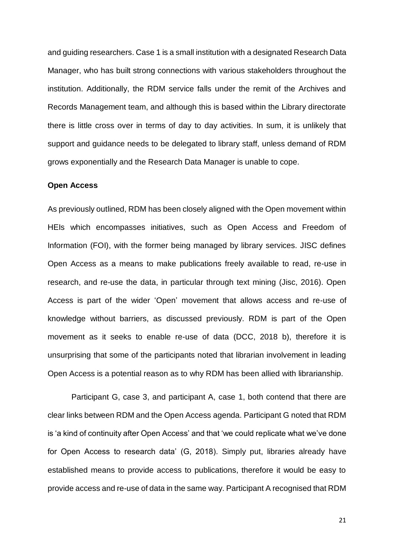and guiding researchers. Case 1 is a small institution with a designated Research Data Manager, who has built strong connections with various stakeholders throughout the institution. Additionally, the RDM service falls under the remit of the Archives and Records Management team, and although this is based within the Library directorate there is little cross over in terms of day to day activities. In sum, it is unlikely that support and guidance needs to be delegated to library staff, unless demand of RDM grows exponentially and the Research Data Manager is unable to cope.

#### **Open Access**

As previously outlined, RDM has been closely aligned with the Open movement within HEIs which encompasses initiatives, such as Open Access and Freedom of Information (FOI), with the former being managed by library services. JISC defines Open Access as a means to make publications freely available to read, re-use in research, and re-use the data, in particular through text mining (Jisc, 2016). Open Access is part of the wider 'Open' movement that allows access and re-use of knowledge without barriers, as discussed previously. RDM is part of the Open movement as it seeks to enable re-use of data (DCC, 2018 b), therefore it is unsurprising that some of the participants noted that librarian involvement in leading Open Access is a potential reason as to why RDM has been allied with librarianship.

Participant G, case 3, and participant A, case 1, both contend that there are clear links between RDM and the Open Access agenda. Participant G noted that RDM is 'a kind of continuity after Open Access' and that 'we could replicate what we've done for Open Access to research data' (G, 2018). Simply put, libraries already have established means to provide access to publications, therefore it would be easy to provide access and re-use of data in the same way. Participant A recognised that RDM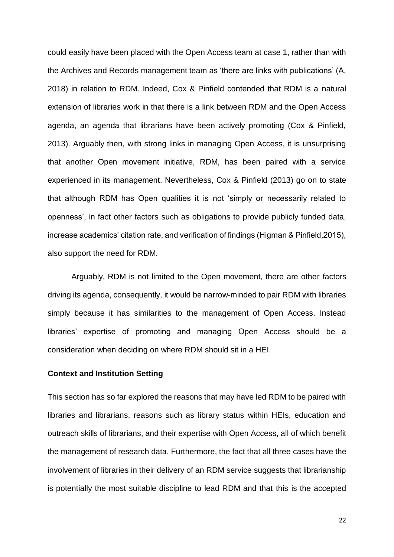could easily have been placed with the Open Access team at case 1, rather than with the Archives and Records management team as 'there are links with publications' (A, 2018) in relation to RDM. Indeed, Cox & Pinfield contended that RDM is a natural extension of libraries work in that there is a link between RDM and the Open Access agenda, an agenda that librarians have been actively promoting (Cox & Pinfield, 2013). Arguably then, with strong links in managing Open Access, it is unsurprising that another Open movement initiative, RDM, has been paired with a service experienced in its management. Nevertheless, Cox & Pinfield (2013) go on to state that although RDM has Open qualities it is not 'simply or necessarily related to openness', in fact other factors such as obligations to provide publicly funded data, increase academics' citation rate, and verification of findings (Higman & Pinfield,2015), also support the need for RDM.

Arguably, RDM is not limited to the Open movement, there are other factors driving its agenda, consequently, it would be narrow-minded to pair RDM with libraries simply because it has similarities to the management of Open Access. Instead libraries' expertise of promoting and managing Open Access should be a consideration when deciding on where RDM should sit in a HEI.

#### **Context and Institution Setting**

This section has so far explored the reasons that may have led RDM to be paired with libraries and librarians, reasons such as library status within HEIs, education and outreach skills of librarians, and their expertise with Open Access, all of which benefit the management of research data. Furthermore, the fact that all three cases have the involvement of libraries in their delivery of an RDM service suggests that librarianship is potentially the most suitable discipline to lead RDM and that this is the accepted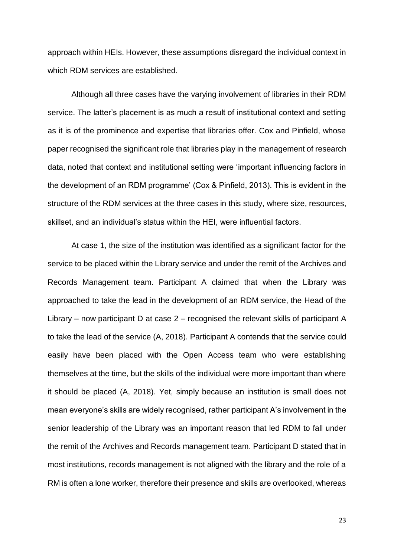approach within HEIs. However, these assumptions disregard the individual context in which RDM services are established.

Although all three cases have the varying involvement of libraries in their RDM service. The latter's placement is as much a result of institutional context and setting as it is of the prominence and expertise that libraries offer. Cox and Pinfield, whose paper recognised the significant role that libraries play in the management of research data, noted that context and institutional setting were 'important influencing factors in the development of an RDM programme' (Cox & Pinfield, 2013). This is evident in the structure of the RDM services at the three cases in this study, where size, resources, skillset, and an individual's status within the HEI, were influential factors.

At case 1, the size of the institution was identified as a significant factor for the service to be placed within the Library service and under the remit of the Archives and Records Management team. Participant A claimed that when the Library was approached to take the lead in the development of an RDM service, the Head of the Library – now participant D at case 2 – recognised the relevant skills of participant A to take the lead of the service (A, 2018). Participant A contends that the service could easily have been placed with the Open Access team who were establishing themselves at the time, but the skills of the individual were more important than where it should be placed (A, 2018). Yet, simply because an institution is small does not mean everyone's skills are widely recognised, rather participant A's involvement in the senior leadership of the Library was an important reason that led RDM to fall under the remit of the Archives and Records management team. Participant D stated that in most institutions, records management is not aligned with the library and the role of a RM is often a lone worker, therefore their presence and skills are overlooked, whereas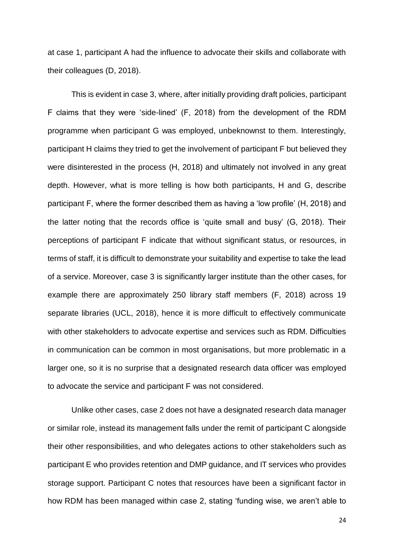at case 1, participant A had the influence to advocate their skills and collaborate with their colleagues (D, 2018).

This is evident in case 3, where, after initially providing draft policies, participant F claims that they were 'side-lined' (F, 2018) from the development of the RDM programme when participant G was employed, unbeknownst to them. Interestingly, participant H claims they tried to get the involvement of participant F but believed they were disinterested in the process (H, 2018) and ultimately not involved in any great depth. However, what is more telling is how both participants, H and G, describe participant F, where the former described them as having a 'low profile' (H, 2018) and the latter noting that the records office is 'quite small and busy' (G, 2018). Their perceptions of participant F indicate that without significant status, or resources, in terms of staff, it is difficult to demonstrate your suitability and expertise to take the lead of a service. Moreover, case 3 is significantly larger institute than the other cases, for example there are approximately 250 library staff members (F, 2018) across 19 separate libraries (UCL, 2018), hence it is more difficult to effectively communicate with other stakeholders to advocate expertise and services such as RDM. Difficulties in communication can be common in most organisations, but more problematic in a larger one, so it is no surprise that a designated research data officer was employed to advocate the service and participant F was not considered.

Unlike other cases, case 2 does not have a designated research data manager or similar role, instead its management falls under the remit of participant C alongside their other responsibilities, and who delegates actions to other stakeholders such as participant E who provides retention and DMP guidance, and IT services who provides storage support. Participant C notes that resources have been a significant factor in how RDM has been managed within case 2, stating 'funding wise, we aren't able to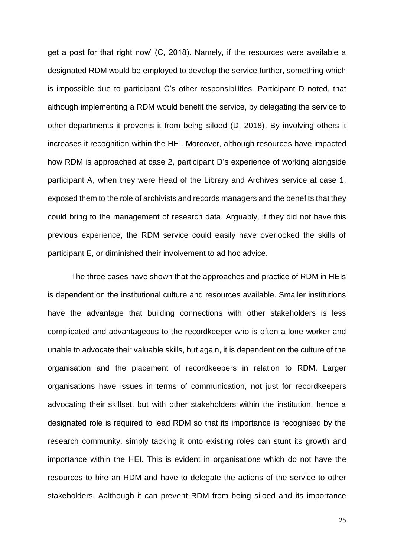get a post for that right now' (C, 2018). Namely, if the resources were available a designated RDM would be employed to develop the service further, something which is impossible due to participant C's other responsibilities. Participant D noted, that although implementing a RDM would benefit the service, by delegating the service to other departments it prevents it from being siloed (D, 2018). By involving others it increases it recognition within the HEI. Moreover, although resources have impacted how RDM is approached at case 2, participant D's experience of working alongside participant A, when they were Head of the Library and Archives service at case 1, exposed them to the role of archivists and records managers and the benefits that they could bring to the management of research data. Arguably, if they did not have this previous experience, the RDM service could easily have overlooked the skills of participant E, or diminished their involvement to ad hoc advice.

The three cases have shown that the approaches and practice of RDM in HEIs is dependent on the institutional culture and resources available. Smaller institutions have the advantage that building connections with other stakeholders is less complicated and advantageous to the recordkeeper who is often a lone worker and unable to advocate their valuable skills, but again, it is dependent on the culture of the organisation and the placement of recordkeepers in relation to RDM. Larger organisations have issues in terms of communication, not just for recordkeepers advocating their skillset, but with other stakeholders within the institution, hence a designated role is required to lead RDM so that its importance is recognised by the research community, simply tacking it onto existing roles can stunt its growth and importance within the HEI. This is evident in organisations which do not have the resources to hire an RDM and have to delegate the actions of the service to other stakeholders. Aalthough it can prevent RDM from being siloed and its importance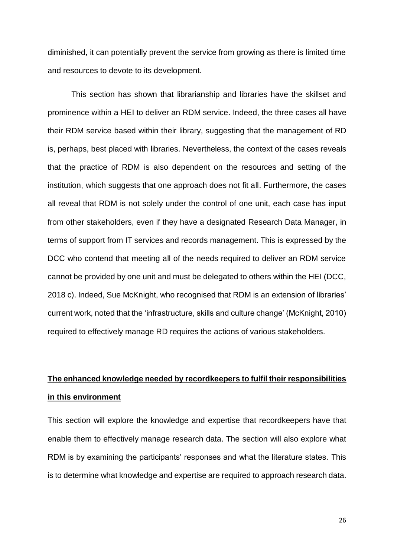diminished, it can potentially prevent the service from growing as there is limited time and resources to devote to its development.

This section has shown that librarianship and libraries have the skillset and prominence within a HEI to deliver an RDM service. Indeed, the three cases all have their RDM service based within their library, suggesting that the management of RD is, perhaps, best placed with libraries. Nevertheless, the context of the cases reveals that the practice of RDM is also dependent on the resources and setting of the institution, which suggests that one approach does not fit all. Furthermore, the cases all reveal that RDM is not solely under the control of one unit, each case has input from other stakeholders, even if they have a designated Research Data Manager, in terms of support from IT services and records management. This is expressed by the DCC who contend that meeting all of the needs required to deliver an RDM service cannot be provided by one unit and must be delegated to others within the HEI (DCC, 2018 c). Indeed, Sue McKnight, who recognised that RDM is an extension of libraries' current work, noted that the 'infrastructure, skills and culture change' (McKnight, 2010) required to effectively manage RD requires the actions of various stakeholders.

## **The enhanced knowledge needed by recordkeepers to fulfil their responsibilities in this environment**

This section will explore the knowledge and expertise that recordkeepers have that enable them to effectively manage research data. The section will also explore what RDM is by examining the participants' responses and what the literature states. This is to determine what knowledge and expertise are required to approach research data.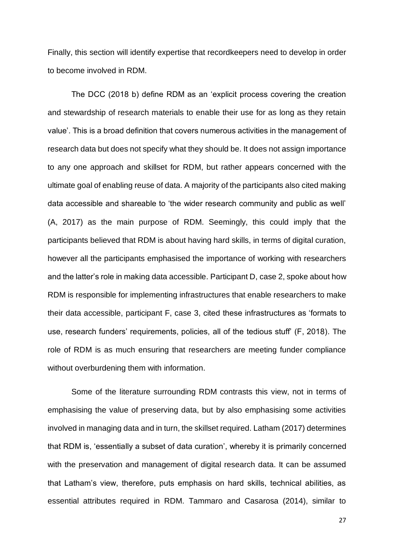Finally, this section will identify expertise that recordkeepers need to develop in order to become involved in RDM.

The DCC (2018 b) define RDM as an 'explicit process covering the creation and stewardship of research materials to enable their use for as long as they retain value'. This is a broad definition that covers numerous activities in the management of research data but does not specify what they should be. It does not assign importance to any one approach and skillset for RDM, but rather appears concerned with the ultimate goal of enabling reuse of data. A majority of the participants also cited making data accessible and shareable to 'the wider research community and public as well' (A, 2017) as the main purpose of RDM. Seemingly, this could imply that the participants believed that RDM is about having hard skills, in terms of digital curation, however all the participants emphasised the importance of working with researchers and the latter's role in making data accessible. Participant D, case 2, spoke about how RDM is responsible for implementing infrastructures that enable researchers to make their data accessible, participant F, case 3, cited these infrastructures as 'formats to use, research funders' requirements, policies, all of the tedious stuff' (F, 2018). The role of RDM is as much ensuring that researchers are meeting funder compliance without overburdening them with information.

Some of the literature surrounding RDM contrasts this view, not in terms of emphasising the value of preserving data, but by also emphasising some activities involved in managing data and in turn, the skillset required. Latham (2017) determines that RDM is, 'essentially a subset of data curation', whereby it is primarily concerned with the preservation and management of digital research data. It can be assumed that Latham's view, therefore, puts emphasis on hard skills, technical abilities, as essential attributes required in RDM. Tammaro and Casarosa (2014), similar to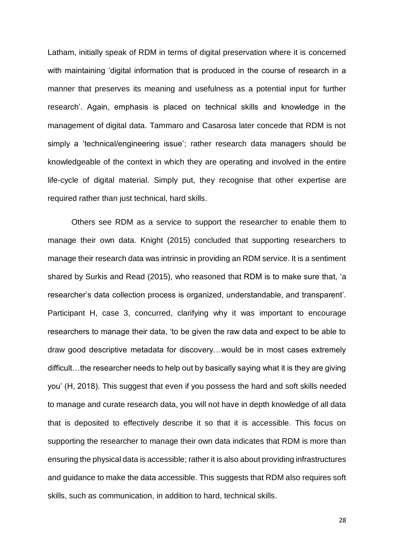Latham, initially speak of RDM in terms of digital preservation where it is concerned with maintaining 'digital information that is produced in the course of research in a manner that preserves its meaning and usefulness as a potential input for further research'. Again, emphasis is placed on technical skills and knowledge in the management of digital data. Tammaro and Casarosa later concede that RDM is not simply a 'technical/engineering issue'; rather research data managers should be knowledgeable of the context in which they are operating and involved in the entire life-cycle of digital material. Simply put, they recognise that other expertise are required rather than just technical, hard skills.

Others see RDM as a service to support the researcher to enable them to manage their own data. Knight (2015) concluded that supporting researchers to manage their research data was intrinsic in providing an RDM service. It is a sentiment shared by Surkis and Read (2015), who reasoned that RDM is to make sure that, 'a researcher's data collection process is organized, understandable, and transparent'. Participant H, case 3, concurred, clarifying why it was important to encourage researchers to manage their data, 'to be given the raw data and expect to be able to draw good descriptive metadata for discovery…would be in most cases extremely difficult…the researcher needs to help out by basically saying what it is they are giving you' (H, 2018). This suggest that even if you possess the hard and soft skills needed to manage and curate research data, you will not have in depth knowledge of all data that is deposited to effectively describe it so that it is accessible. This focus on supporting the researcher to manage their own data indicates that RDM is more than ensuring the physical data is accessible; rather it is also about providing infrastructures and guidance to make the data accessible. This suggests that RDM also requires soft skills, such as communication, in addition to hard, technical skills.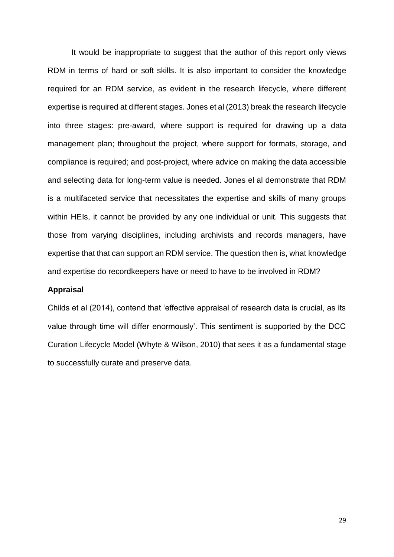It would be inappropriate to suggest that the author of this report only views RDM in terms of hard or soft skills. It is also important to consider the knowledge required for an RDM service, as evident in the research lifecycle, where different expertise is required at different stages. Jones et al (2013) break the research lifecycle into three stages: pre-award, where support is required for drawing up a data management plan; throughout the project, where support for formats, storage, and compliance is required; and post-project, where advice on making the data accessible and selecting data for long-term value is needed. Jones el al demonstrate that RDM is a multifaceted service that necessitates the expertise and skills of many groups within HEIs, it cannot be provided by any one individual or unit. This suggests that those from varying disciplines, including archivists and records managers, have expertise that that can support an RDM service. The question then is, what knowledge and expertise do recordkeepers have or need to have to be involved in RDM?

#### **Appraisal**

Childs et al (2014), contend that 'effective appraisal of research data is crucial, as its value through time will differ enormously'. This sentiment is supported by the DCC Curation Lifecycle Model (Whyte & Wilson, 2010) that sees it as a fundamental stage to successfully curate and preserve data.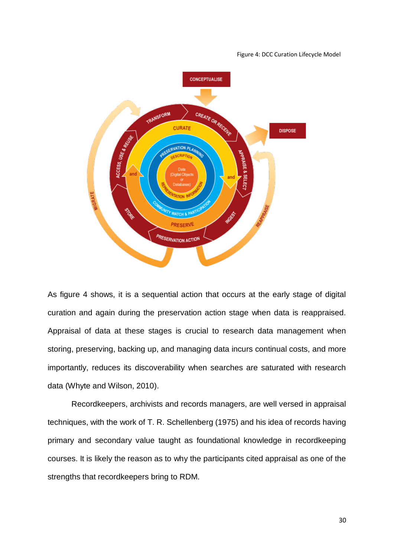#### Figure 4: DCC Curation Lifecycle Model



As figure 4 shows, it is a sequential action that occurs at the early stage of digital curation and again during the preservation action stage when data is reappraised. Appraisal of data at these stages is crucial to research data management when storing, preserving, backing up, and managing data incurs continual costs, and more importantly, reduces its discoverability when searches are saturated with research data (Whyte and Wilson, 2010).

Recordkeepers, archivists and records managers, are well versed in appraisal techniques, with the work of T. R. Schellenberg (1975) and his idea of records having primary and secondary value taught as foundational knowledge in recordkeeping courses. It is likely the reason as to why the participants cited appraisal as one of the strengths that recordkeepers bring to RDM.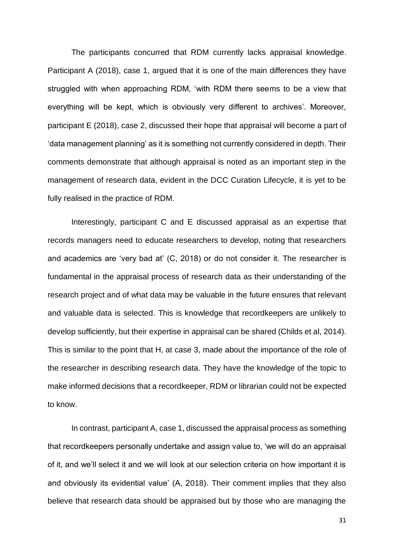The participants concurred that RDM currently lacks appraisal knowledge. Participant A (2018), case 1, argued that it is one of the main differences they have struggled with when approaching RDM, 'with RDM there seems to be a view that everything will be kept, which is obviously very different to archives'. Moreover, participant E (2018), case 2, discussed their hope that appraisal will become a part of 'data management planning' as it is something not currently considered in depth. Their comments demonstrate that although appraisal is noted as an important step in the management of research data, evident in the DCC Curation Lifecycle, it is yet to be fully realised in the practice of RDM.

Interestingly, participant C and E discussed appraisal as an expertise that records managers need to educate researchers to develop, noting that researchers and academics are 'very bad at' (C, 2018) or do not consider it. The researcher is fundamental in the appraisal process of research data as their understanding of the research project and of what data may be valuable in the future ensures that relevant and valuable data is selected. This is knowledge that recordkeepers are unlikely to develop sufficiently, but their expertise in appraisal can be shared (Childs et al, 2014). This is similar to the point that H, at case 3, made about the importance of the role of the researcher in describing research data. They have the knowledge of the topic to make informed decisions that a recordkeeper, RDM or librarian could not be expected to know.

In contrast, participant A, case 1, discussed the appraisal process as something that recordkeepers personally undertake and assign value to, 'we will do an appraisal of it, and we'll select it and we will look at our selection criteria on how important it is and obviously its evidential value' (A, 2018). Their comment implies that they also believe that research data should be appraised but by those who are managing the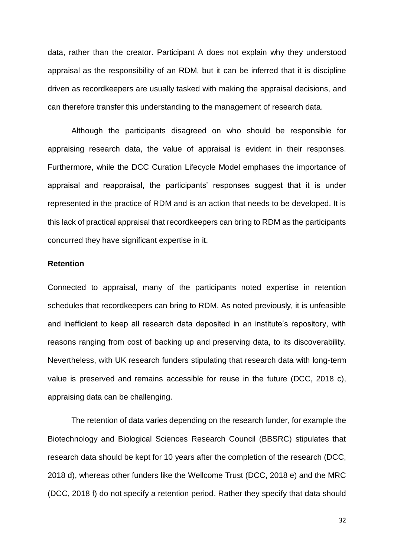data, rather than the creator. Participant A does not explain why they understood appraisal as the responsibility of an RDM, but it can be inferred that it is discipline driven as recordkeepers are usually tasked with making the appraisal decisions, and can therefore transfer this understanding to the management of research data.

Although the participants disagreed on who should be responsible for appraising research data, the value of appraisal is evident in their responses. Furthermore, while the DCC Curation Lifecycle Model emphases the importance of appraisal and reappraisal, the participants' responses suggest that it is under represented in the practice of RDM and is an action that needs to be developed. It is this lack of practical appraisal that recordkeepers can bring to RDM as the participants concurred they have significant expertise in it.

#### **Retention**

Connected to appraisal, many of the participants noted expertise in retention schedules that recordkeepers can bring to RDM. As noted previously, it is unfeasible and inefficient to keep all research data deposited in an institute's repository, with reasons ranging from cost of backing up and preserving data, to its discoverability. Nevertheless, with UK research funders stipulating that research data with long-term value is preserved and remains accessible for reuse in the future (DCC, 2018 c), appraising data can be challenging.

The retention of data varies depending on the research funder, for example the Biotechnology and Biological Sciences Research Council (BBSRC) stipulates that research data should be kept for 10 years after the completion of the research (DCC, 2018 d), whereas other funders like the Wellcome Trust (DCC, 2018 e) and the MRC (DCC, 2018 f) do not specify a retention period. Rather they specify that data should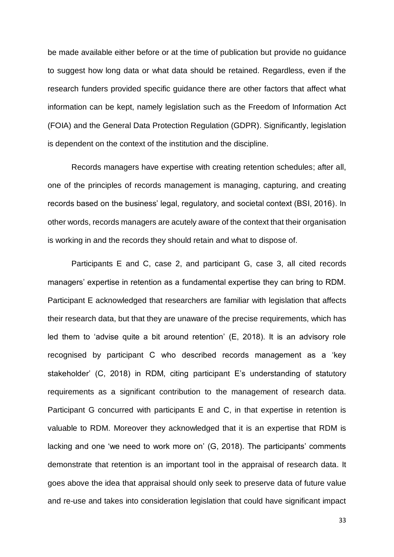be made available either before or at the time of publication but provide no guidance to suggest how long data or what data should be retained. Regardless, even if the research funders provided specific guidance there are other factors that affect what information can be kept, namely legislation such as the Freedom of Information Act (FOIA) and the General Data Protection Regulation (GDPR). Significantly, legislation is dependent on the context of the institution and the discipline.

Records managers have expertise with creating retention schedules; after all, one of the principles of records management is managing, capturing, and creating records based on the business' legal, regulatory, and societal context (BSI, 2016). In other words, records managers are acutely aware of the context that their organisation is working in and the records they should retain and what to dispose of.

Participants E and C, case 2, and participant G, case 3, all cited records managers' expertise in retention as a fundamental expertise they can bring to RDM. Participant E acknowledged that researchers are familiar with legislation that affects their research data, but that they are unaware of the precise requirements, which has led them to 'advise quite a bit around retention' (E, 2018). It is an advisory role recognised by participant C who described records management as a 'key stakeholder' (C, 2018) in RDM, citing participant E's understanding of statutory requirements as a significant contribution to the management of research data. Participant G concurred with participants E and C, in that expertise in retention is valuable to RDM. Moreover they acknowledged that it is an expertise that RDM is lacking and one 'we need to work more on' (G, 2018). The participants' comments demonstrate that retention is an important tool in the appraisal of research data. It goes above the idea that appraisal should only seek to preserve data of future value and re-use and takes into consideration legislation that could have significant impact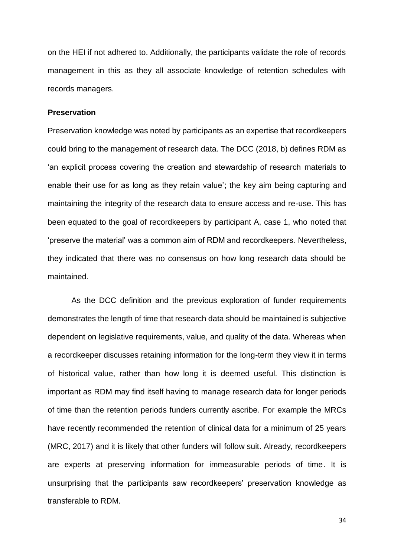on the HEI if not adhered to. Additionally, the participants validate the role of records management in this as they all associate knowledge of retention schedules with records managers.

#### **Preservation**

Preservation knowledge was noted by participants as an expertise that recordkeepers could bring to the management of research data. The DCC (2018, b) defines RDM as 'an explicit process covering the creation and stewardship of research materials to enable their use for as long as they retain value'; the key aim being capturing and maintaining the integrity of the research data to ensure access and re-use. This has been equated to the goal of recordkeepers by participant A, case 1, who noted that 'preserve the material' was a common aim of RDM and recordkeepers. Nevertheless, they indicated that there was no consensus on how long research data should be maintained.

As the DCC definition and the previous exploration of funder requirements demonstrates the length of time that research data should be maintained is subjective dependent on legislative requirements, value, and quality of the data. Whereas when a recordkeeper discusses retaining information for the long-term they view it in terms of historical value, rather than how long it is deemed useful. This distinction is important as RDM may find itself having to manage research data for longer periods of time than the retention periods funders currently ascribe. For example the MRCs have recently recommended the retention of clinical data for a minimum of 25 years (MRC, 2017) and it is likely that other funders will follow suit. Already, recordkeepers are experts at preserving information for immeasurable periods of time. It is unsurprising that the participants saw recordkeepers' preservation knowledge as transferable to RDM.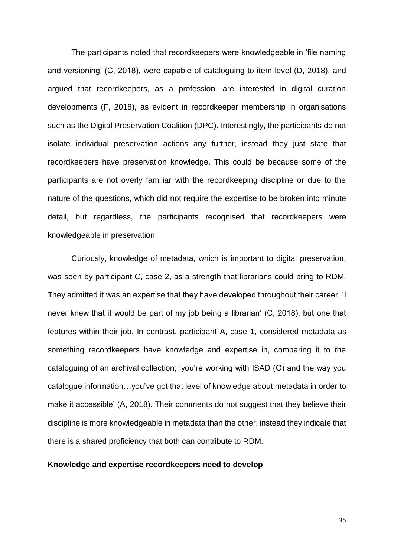The participants noted that recordkeepers were knowledgeable in 'file naming and versioning' (C, 2018), were capable of cataloguing to item level (D, 2018), and argued that recordkeepers, as a profession, are interested in digital curation developments (F, 2018), as evident in recordkeeper membership in organisations such as the Digital Preservation Coalition (DPC). Interestingly, the participants do not isolate individual preservation actions any further, instead they just state that recordkeepers have preservation knowledge. This could be because some of the participants are not overly familiar with the recordkeeping discipline or due to the nature of the questions, which did not require the expertise to be broken into minute detail, but regardless, the participants recognised that recordkeepers were knowledgeable in preservation.

Curiously, knowledge of metadata, which is important to digital preservation, was seen by participant C, case 2, as a strength that librarians could bring to RDM. They admitted it was an expertise that they have developed throughout their career, 'I never knew that it would be part of my job being a librarian' (C, 2018), but one that features within their job. In contrast, participant A, case 1, considered metadata as something recordkeepers have knowledge and expertise in, comparing it to the cataloguing of an archival collection; 'you're working with ISAD (G) and the way you catalogue information…you've got that level of knowledge about metadata in order to make it accessible' (A, 2018). Their comments do not suggest that they believe their discipline is more knowledgeable in metadata than the other; instead they indicate that there is a shared proficiency that both can contribute to RDM.

#### **Knowledge and expertise recordkeepers need to develop**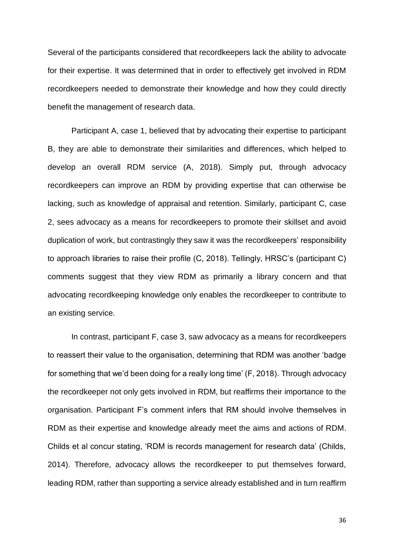Several of the participants considered that recordkeepers lack the ability to advocate for their expertise. It was determined that in order to effectively get involved in RDM recordkeepers needed to demonstrate their knowledge and how they could directly benefit the management of research data.

Participant A, case 1, believed that by advocating their expertise to participant B, they are able to demonstrate their similarities and differences, which helped to develop an overall RDM service (A, 2018). Simply put, through advocacy recordkeepers can improve an RDM by providing expertise that can otherwise be lacking, such as knowledge of appraisal and retention. Similarly, participant C, case 2, sees advocacy as a means for recordkeepers to promote their skillset and avoid duplication of work, but contrastingly they saw it was the recordkeepers' responsibility to approach libraries to raise their profile (C, 2018). Tellingly, HRSC's (participant C) comments suggest that they view RDM as primarily a library concern and that advocating recordkeeping knowledge only enables the recordkeeper to contribute to an existing service.

In contrast, participant F, case 3, saw advocacy as a means for recordkeepers to reassert their value to the organisation, determining that RDM was another 'badge for something that we'd been doing for a really long time' (F, 2018). Through advocacy the recordkeeper not only gets involved in RDM, but reaffirms their importance to the organisation. Participant F's comment infers that RM should involve themselves in RDM as their expertise and knowledge already meet the aims and actions of RDM. Childs et al concur stating, 'RDM is records management for research data' (Childs, 2014). Therefore, advocacy allows the recordkeeper to put themselves forward, leading RDM, rather than supporting a service already established and in turn reaffirm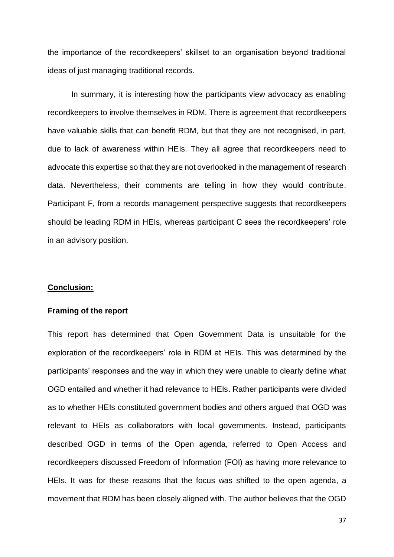the importance of the recordkeepers' skillset to an organisation beyond traditional ideas of just managing traditional records.

In summary, it is interesting how the participants view advocacy as enabling recordkeepers to involve themselves in RDM. There is agreement that recordkeepers have valuable skills that can benefit RDM, but that they are not recognised, in part, due to lack of awareness within HEIs. They all agree that recordkeepers need to advocate this expertise so that they are not overlooked in the management of research data. Nevertheless, their comments are telling in how they would contribute. Participant F, from a records management perspective suggests that recordkeepers should be leading RDM in HEIs, whereas participant C sees the recordkeepers' role in an advisory position.

#### **Conclusion:**

#### **Framing of the report**

This report has determined that Open Government Data is unsuitable for the exploration of the recordkeepers' role in RDM at HEIs. This was determined by the participants' responses and the way in which they were unable to clearly define what OGD entailed and whether it had relevance to HEIs. Rather participants were divided as to whether HEIs constituted government bodies and others argued that OGD was relevant to HEIs as collaborators with local governments. Instead, participants described OGD in terms of the Open agenda, referred to Open Access and recordkeepers discussed Freedom of Information (FOI) as having more relevance to HEIs. It was for these reasons that the focus was shifted to the open agenda, a movement that RDM has been closely aligned with. The author believes that the OGD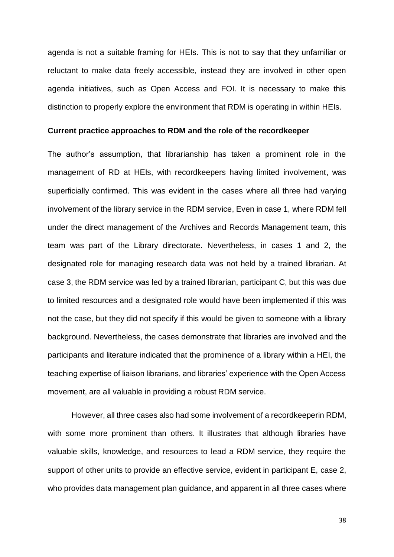agenda is not a suitable framing for HEIs. This is not to say that they unfamiliar or reluctant to make data freely accessible, instead they are involved in other open agenda initiatives, such as Open Access and FOI. It is necessary to make this distinction to properly explore the environment that RDM is operating in within HEIs.

#### **Current practice approaches to RDM and the role of the recordkeeper**

The author's assumption, that librarianship has taken a prominent role in the management of RD at HEIs, with recordkeepers having limited involvement, was superficially confirmed. This was evident in the cases where all three had varying involvement of the library service in the RDM service, Even in case 1, where RDM fell under the direct management of the Archives and Records Management team, this team was part of the Library directorate. Nevertheless, in cases 1 and 2, the designated role for managing research data was not held by a trained librarian. At case 3, the RDM service was led by a trained librarian, participant C, but this was due to limited resources and a designated role would have been implemented if this was not the case, but they did not specify if this would be given to someone with a library background. Nevertheless, the cases demonstrate that libraries are involved and the participants and literature indicated that the prominence of a library within a HEI, the teaching expertise of liaison librarians, and libraries' experience with the Open Access movement, are all valuable in providing a robust RDM service.

However, all three cases also had some involvement of a recordkeeperin RDM, with some more prominent than others. It illustrates that although libraries have valuable skills, knowledge, and resources to lead a RDM service, they require the support of other units to provide an effective service, evident in participant E, case 2, who provides data management plan guidance, and apparent in all three cases where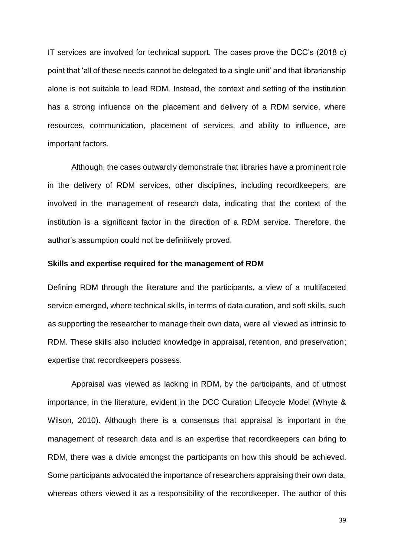IT services are involved for technical support. The cases prove the DCC's (2018 c) point that 'all of these needs cannot be delegated to a single unit' and that librarianship alone is not suitable to lead RDM. Instead, the context and setting of the institution has a strong influence on the placement and delivery of a RDM service, where resources, communication, placement of services, and ability to influence, are important factors.

Although, the cases outwardly demonstrate that libraries have a prominent role in the delivery of RDM services, other disciplines, including recordkeepers, are involved in the management of research data, indicating that the context of the institution is a significant factor in the direction of a RDM service. Therefore, the author's assumption could not be definitively proved.

#### **Skills and expertise required for the management of RDM**

Defining RDM through the literature and the participants, a view of a multifaceted service emerged, where technical skills, in terms of data curation, and soft skills, such as supporting the researcher to manage their own data, were all viewed as intrinsic to RDM. These skills also included knowledge in appraisal, retention, and preservation; expertise that recordkeepers possess.

Appraisal was viewed as lacking in RDM, by the participants, and of utmost importance, in the literature, evident in the DCC Curation Lifecycle Model (Whyte & Wilson, 2010). Although there is a consensus that appraisal is important in the management of research data and is an expertise that recordkeepers can bring to RDM, there was a divide amongst the participants on how this should be achieved. Some participants advocated the importance of researchers appraising their own data, whereas others viewed it as a responsibility of the recordkeeper. The author of this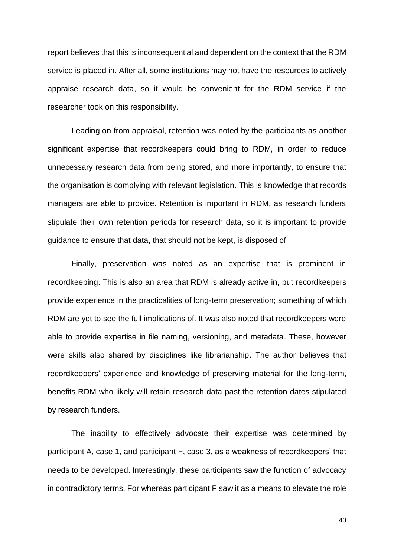report believes that this is inconsequential and dependent on the context that the RDM service is placed in. After all, some institutions may not have the resources to actively appraise research data, so it would be convenient for the RDM service if the researcher took on this responsibility.

Leading on from appraisal, retention was noted by the participants as another significant expertise that recordkeepers could bring to RDM, in order to reduce unnecessary research data from being stored, and more importantly, to ensure that the organisation is complying with relevant legislation. This is knowledge that records managers are able to provide. Retention is important in RDM, as research funders stipulate their own retention periods for research data, so it is important to provide guidance to ensure that data, that should not be kept, is disposed of.

Finally, preservation was noted as an expertise that is prominent in recordkeeping. This is also an area that RDM is already active in, but recordkeepers provide experience in the practicalities of long-term preservation; something of which RDM are yet to see the full implications of. It was also noted that recordkeepers were able to provide expertise in file naming, versioning, and metadata. These, however were skills also shared by disciplines like librarianship. The author believes that recordkeepers' experience and knowledge of preserving material for the long-term, benefits RDM who likely will retain research data past the retention dates stipulated by research funders.

The inability to effectively advocate their expertise was determined by participant A, case 1, and participant F, case 3, as a weakness of recordkeepers' that needs to be developed. Interestingly, these participants saw the function of advocacy in contradictory terms. For whereas participant F saw it as a means to elevate the role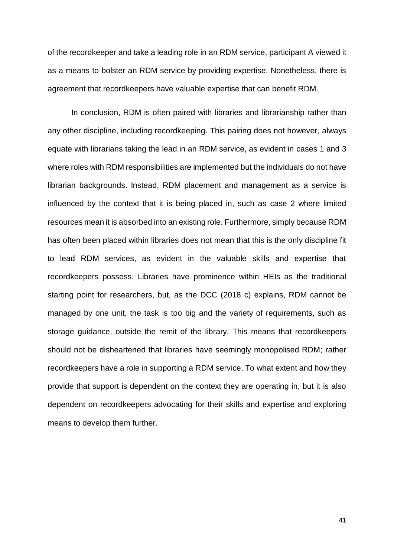of the recordkeeper and take a leading role in an RDM service, participant A viewed it as a means to bolster an RDM service by providing expertise. Nonetheless, there is agreement that recordkeepers have valuable expertise that can benefit RDM.

In conclusion, RDM is often paired with libraries and librarianship rather than any other discipline, including recordkeeping. This pairing does not however, always equate with librarians taking the lead in an RDM service, as evident in cases 1 and 3 where roles with RDM responsibilities are implemented but the individuals do not have librarian backgrounds. Instead, RDM placement and management as a service is influenced by the context that it is being placed in, such as case 2 where limited resources mean it is absorbed into an existing role. Furthermore, simply because RDM has often been placed within libraries does not mean that this is the only discipline fit to lead RDM services, as evident in the valuable skills and expertise that recordkeepers possess. Libraries have prominence within HEIs as the traditional starting point for researchers, but, as the DCC (2018 c) explains, RDM cannot be managed by one unit, the task is too big and the variety of requirements, such as storage guidance, outside the remit of the library. This means that recordkeepers should not be disheartened that libraries have seemingly monopolised RDM; rather recordkeepers have a role in supporting a RDM service. To what extent and how they provide that support is dependent on the context they are operating in, but it is also dependent on recordkeepers advocating for their skills and expertise and exploring means to develop them further.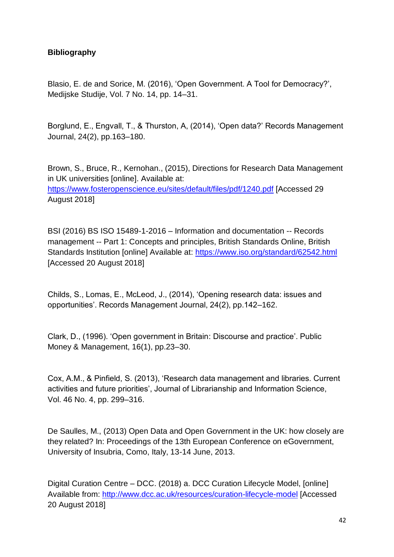### **Bibliography**

Blasio, E. de and Sorice, M. (2016), 'Open Government. A Tool for Democracy?', Medijske Studije, Vol. 7 No. 14, pp. 14–31.

Borglund, E., Engvall, T., & Thurston, A, (2014), 'Open data?' Records Management Journal, 24(2), pp.163–180.

Brown, S., Bruce, R., Kernohan., (2015), Directions for Research Data Management in UK universities [online]. Available at: <https://www.fosteropenscience.eu/sites/default/files/pdf/1240.pdf> [Accessed 29 August 2018]

BSI (2016) BS ISO 15489-1-2016 – Information and documentation -- Records management -- Part 1: Concepts and principles, British Standards Online, British Standards Institution [online] Available at:<https://www.iso.org/standard/62542.html> [Accessed 20 August 2018]

Childs, S., Lomas, E., McLeod, J., (2014), 'Opening research data: issues and opportunities'. Records Management Journal, 24(2), pp.142–162.

Clark, D., (1996). 'Open government in Britain: Discourse and practice'. Public Money & Management, 16(1), pp.23–30.

Cox, A.M., & Pinfield, S. (2013), 'Research data management and libraries. Current activities and future priorities', Journal of Librarianship and Information Science, Vol. 46 No. 4, pp. 299–316.

De Saulles, M., (2013) Open Data and Open Government in the UK: how closely are they related? In: Proceedings of the 13th European Conference on eGovernment, University of Insubria, Como, Italy, 13-14 June, 2013.

Digital Curation Centre – DCC. (2018) a. DCC Curation Lifecycle Model, [online] Available from: http://www.dcc.ac.uk/resources/curation-lifecycle-model [Accessed 20 August 2018]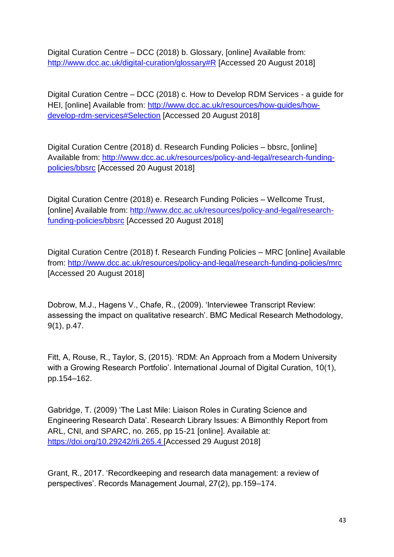Digital Curation Centre – DCC (2018) b. Glossary, [online] Available from: <http://www.dcc.ac.uk/digital-curation/glossary#R> [Accessed 20 August 2018]

Digital Curation Centre – DCC (2018) c. How to Develop RDM Services - a guide for HEI, [online] Available from: [http://www.dcc.ac.uk/resources/how-guides/how](http://www.dcc.ac.uk/resources/how-guides/how-develop-rdm-services#Selection)[develop-rdm-services#Selection](http://www.dcc.ac.uk/resources/how-guides/how-develop-rdm-services#Selection) [Accessed 20 August 2018]

Digital Curation Centre (2018) d. Research Funding Policies – bbsrc, [online] Available from: [http://www.dcc.ac.uk/resources/policy-and-legal/research-funding](http://www.dcc.ac.uk/resources/policy-and-legal/research-funding-policies/bbsrc)[policies/bbsrc](http://www.dcc.ac.uk/resources/policy-and-legal/research-funding-policies/bbsrc) [Accessed 20 August 2018]

Digital Curation Centre (2018) e. Research Funding Policies – Wellcome Trust, [online] Available from: [http://www.dcc.ac.uk/resources/policy-and-legal/research](http://www.dcc.ac.uk/resources/policy-and-legal/research-funding-policies/bbsrc)[funding-policies/bbsrc](http://www.dcc.ac.uk/resources/policy-and-legal/research-funding-policies/bbsrc) [Accessed 20 August 2018]

Digital Curation Centre (2018) f. Research Funding Policies – MRC [online] Available from:<http://www.dcc.ac.uk/resources/policy-and-legal/research-funding-policies/mrc> [Accessed 20 August 2018]

Dobrow, M.J., Hagens V., Chafe, R., (2009). 'Interviewee Transcript Review: assessing the impact on qualitative research'. BMC Medical Research Methodology, 9(1), p.47.

Fitt, A, Rouse, R., Taylor, S, (2015). 'RDM: An Approach from a Modern University with a Growing Research Portfolio'. International Journal of Digital Curation, 10(1), pp.154–162.

Gabridge, T. (2009) 'The Last Mile: Liaison Roles in Curating Science and Engineering Research Data'. Research Library Issues: A Bimonthly Report from ARL, CNI, and SPARC, no. 265, pp 15-21 [online]. Available at: <https://doi.org/10.29242/rli.265.4> [Accessed 29 August 2018]

Grant, R., 2017. 'Recordkeeping and research data management: a review of perspectives'. Records Management Journal, 27(2), pp.159–174.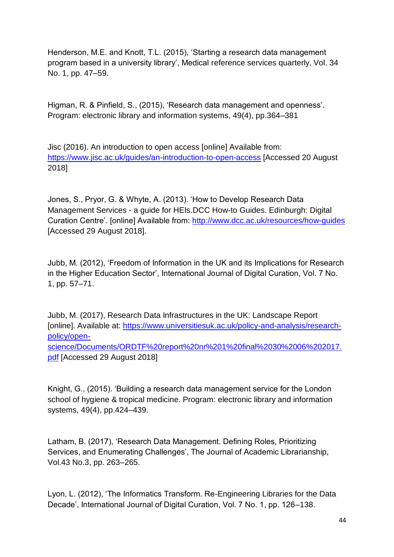Henderson, M.E. and Knott, T.L. (2015), 'Starting a research data management program based in a university library', Medical reference services quarterly, Vol. 34 No. 1, pp. 47–59.

Higman, R. & Pinfield, S., (2015), 'Research data management and openness'. Program: electronic library and information systems, 49(4), pp.364–381

Jisc (2016). An introduction to open access [online] Available from: <https://www.jisc.ac.uk/guides/an-introduction-to-open-access> [Accessed 20 August 2018]

Jones, S., Pryor, G. & Whyte, A. (2013). 'How to Develop Research Data Management Services - a guide for HEIs.DCC How-to Guides. Edinburgh: Digital Curation Centre'. [online] Available from:<http://www.dcc.ac.uk/resources/how-guides> [Accessed 29 August 2018].

Jubb, M. (2012), 'Freedom of Information in the UK and its Implications for Research in the Higher Education Sector', International Journal of Digital Curation, Vol. 7 No. 1, pp. 57–71.

Jubb, M. (2017), Research Data Infrastructures in the UK: Landscape Report [online]. Available at: [https://www.universitiesuk.ac.uk/policy-and-analysis/research](https://www.universitiesuk.ac.uk/policy-and-analysis/research-policy/open-science/Documents/ORDTF%20report%20nr%201%20final%2030%2006%202017.pdf)[policy/open](https://www.universitiesuk.ac.uk/policy-and-analysis/research-policy/open-science/Documents/ORDTF%20report%20nr%201%20final%2030%2006%202017.pdf)[science/Documents/ORDTF%20report%20nr%201%20final%2030%2006%202017.](https://www.universitiesuk.ac.uk/policy-and-analysis/research-policy/open-science/Documents/ORDTF%20report%20nr%201%20final%2030%2006%202017.pdf) [pdf](https://www.universitiesuk.ac.uk/policy-and-analysis/research-policy/open-science/Documents/ORDTF%20report%20nr%201%20final%2030%2006%202017.pdf) [Accessed 29 August 2018]

Knight, G., (2015). 'Building a research data management service for the London school of hygiene & tropical medicine. Program: electronic library and information systems, 49(4), pp.424–439.

Latham, B. (2017), 'Research Data Management. Defining Roles, Prioritizing Services, and Enumerating Challenges', The Journal of Academic Librarianship, Vol.43 No.3, pp. 263–265.

Lyon, L. (2012), 'The Informatics Transform. Re-Engineering Libraries for the Data Decade', International Journal of Digital Curation, Vol. 7 No. 1, pp. 126–138.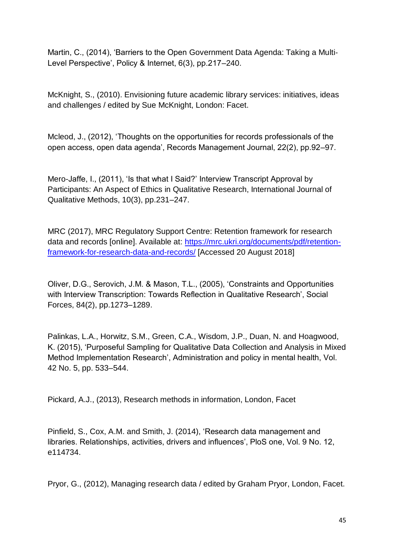Martin, C., (2014), 'Barriers to the Open Government Data Agenda: Taking a Multi‐ Level Perspective', Policy & Internet, 6(3), pp.217–240.

McKnight, S., (2010). Envisioning future academic library services: initiatives, ideas and challenges / edited by Sue McKnight, London: Facet.

Mcleod, J., (2012), 'Thoughts on the opportunities for records professionals of the open access, open data agenda', Records Management Journal, 22(2), pp.92–97.

Mero-Jaffe, I., (2011), 'Is that what I Said?' Interview Transcript Approval by Participants: An Aspect of Ethics in Qualitative Research, International Journal of Qualitative Methods, 10(3), pp.231–247.

MRC (2017), MRC Regulatory Support Centre: Retention framework for research data and records [online]. Available at: [https://mrc.ukri.org/documents/pdf/retention](https://mrc.ukri.org/documents/pdf/retention-framework-for-research-data-and-records/)[framework-for-research-data-and-records/](https://mrc.ukri.org/documents/pdf/retention-framework-for-research-data-and-records/) [Accessed 20 August 2018]

Oliver, D.G., Serovich, J.M. & Mason, T.L., (2005), 'Constraints and Opportunities with Interview Transcription: Towards Reflection in Qualitative Research', Social Forces, 84(2), pp.1273–1289.

Palinkas, L.A., Horwitz, S.M., Green, C.A., Wisdom, J.P., Duan, N. and Hoagwood, K. (2015), 'Purposeful Sampling for Qualitative Data Collection and Analysis in Mixed Method Implementation Research', Administration and policy in mental health, Vol. 42 No. 5, pp. 533–544.

Pickard, A.J., (2013), Research methods in information, London, Facet

Pinfield, S., Cox, A.M. and Smith, J. (2014), 'Research data management and libraries. Relationships, activities, drivers and influences', PloS one, Vol. 9 No. 12, e114734.

Pryor, G., (2012), Managing research data / edited by Graham Pryor, London, Facet.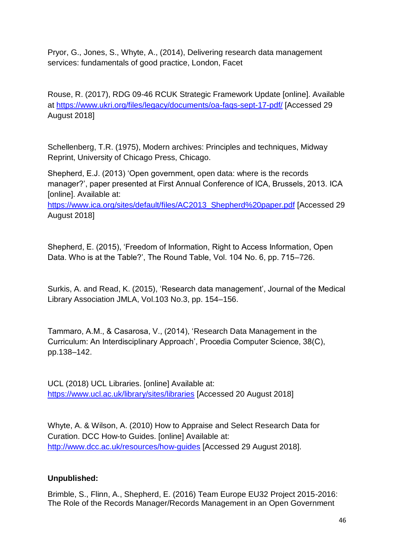Pryor, G., Jones, S., Whyte, A., (2014), Delivering research data management services: fundamentals of good practice, London, Facet

Rouse, R. (2017), RDG 09-46 RCUK Strategic Framework Update [online]. Available at<https://www.ukri.org/files/legacy/documents/oa-faqs-sept-17-pdf/> [Accessed 29 August 2018]

Schellenberg, T.R. (1975), Modern archives: Principles and techniques, Midway Reprint, University of Chicago Press, Chicago.

Shepherd, E.J. (2013) 'Open government, open data: where is the records manager?', paper presented at First Annual Conference of ICA, Brussels, 2013. ICA [online]. Available at:

[https://www.ica.org/sites/default/files/AC2013\\_Shepherd%20paper.pdf](https://www.ica.org/sites/default/files/AC2013_Shepherd%20paper.pdf) [Accessed 29 August 2018]

Shepherd, E. (2015), 'Freedom of Information, Right to Access Information, Open Data. Who is at the Table?', The Round Table, Vol. 104 No. 6, pp. 715–726.

Surkis, A. and Read, K. (2015), 'Research data management', Journal of the Medical Library Association JMLA, Vol.103 No.3, pp. 154–156.

Tammaro, A.M., & Casarosa, V., (2014), 'Research Data Management in the Curriculum: An Interdisciplinary Approach', Procedia Computer Science, 38(C), pp.138–142.

UCL (2018) UCL Libraries. [online] Available at: <https://www.ucl.ac.uk/library/sites/libraries> [Accessed 20 August 2018]

Whyte, A. & Wilson, A. (2010) How to Appraise and Select Research Data for Curation. DCC How-to Guides. [online] Available at: <http://www.dcc.ac.uk/resources/how-guides> [Accessed 29 August 2018].

### **Unpublished:**

Brimble, S., Flinn, A., Shepherd, E. (2016) Team Europe EU32 Project 2015-2016: The Role of the Records Manager/Records Management in an Open Government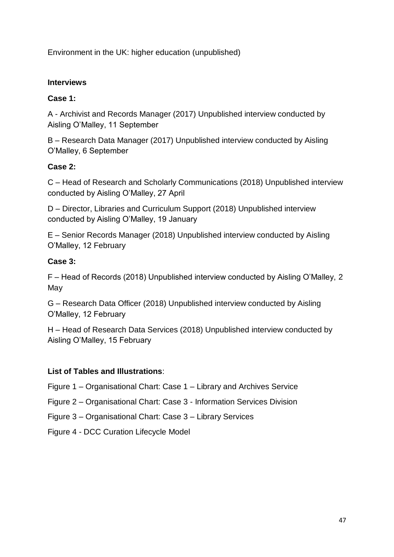Environment in the UK: higher education (unpublished)

## **Interviews**

## **Case 1:**

A - Archivist and Records Manager (2017) Unpublished interview conducted by Aisling O'Malley, 11 September

B – Research Data Manager (2017) Unpublished interview conducted by Aisling O'Malley, 6 September

## **Case 2:**

C – Head of Research and Scholarly Communications (2018) Unpublished interview conducted by Aisling O'Malley, 27 April

D – Director, Libraries and Curriculum Support (2018) Unpublished interview conducted by Aisling O'Malley, 19 January

E – Senior Records Manager (2018) Unpublished interview conducted by Aisling O'Malley, 12 February

## **Case 3:**

F – Head of Records (2018) Unpublished interview conducted by Aisling O'Malley, 2 May

G – Research Data Officer (2018) Unpublished interview conducted by Aisling O'Malley, 12 February

H – Head of Research Data Services (2018) Unpublished interview conducted by Aisling O'Malley, 15 February

### **List of Tables and Illustrations**:

Figure 1 – Organisational Chart: Case 1 – Library and Archives Service

Figure 2 – Organisational Chart: Case 3 - Information Services Division

Figure 3 – Organisational Chart: Case 3 – Library Services

Figure 4 - DCC Curation Lifecycle Model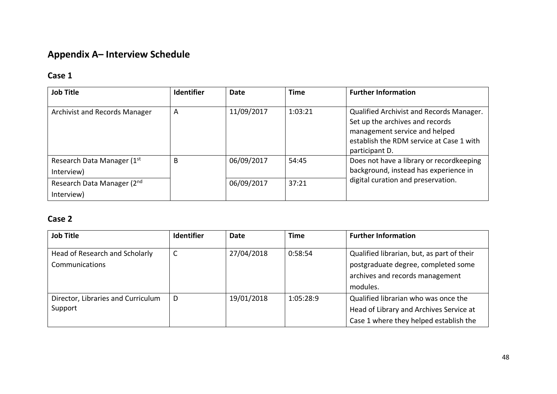## **Appendix A– Interview Schedule**

## **Case 1**

| <b>Job Title</b>              | <b>Identifier</b> | Date       | <b>Time</b> | <b>Further Information</b>                                                                                              |
|-------------------------------|-------------------|------------|-------------|-------------------------------------------------------------------------------------------------------------------------|
|                               |                   |            |             |                                                                                                                         |
| Archivist and Records Manager | A                 | 11/09/2017 | 1:03:21     | Qualified Archivist and Records Manager.                                                                                |
|                               |                   |            |             | Set up the archives and records                                                                                         |
|                               |                   |            |             | management service and helped                                                                                           |
|                               |                   |            |             | establish the RDM service at Case 1 with                                                                                |
|                               |                   |            |             | participant D.                                                                                                          |
| Research Data Manager (1st    | B                 | 06/09/2017 | 54:45       | Does not have a library or recordkeeping<br>background, instead has experience in<br>digital curation and preservation. |
| Interview)                    |                   |            |             |                                                                                                                         |
| Research Data Manager (2nd)   |                   | 06/09/2017 | 37:21       |                                                                                                                         |
| Interview)                    |                   |            |             |                                                                                                                         |

## **Case 2**

| <b>Job Title</b>                                 | <b>Identifier</b> | Date       | Time      | <b>Further Information</b>                                                                                                       |
|--------------------------------------------------|-------------------|------------|-----------|----------------------------------------------------------------------------------------------------------------------------------|
| Head of Research and Scholarly<br>Communications |                   | 27/04/2018 | 0:58:54   | Qualified librarian, but, as part of their<br>postgraduate degree, completed some<br>archives and records management<br>modules. |
| Director, Libraries and Curriculum<br>Support    | D                 | 19/01/2018 | 1:05:28:9 | Qualified librarian who was once the<br>Head of Library and Archives Service at<br>Case 1 where they helped establish the        |